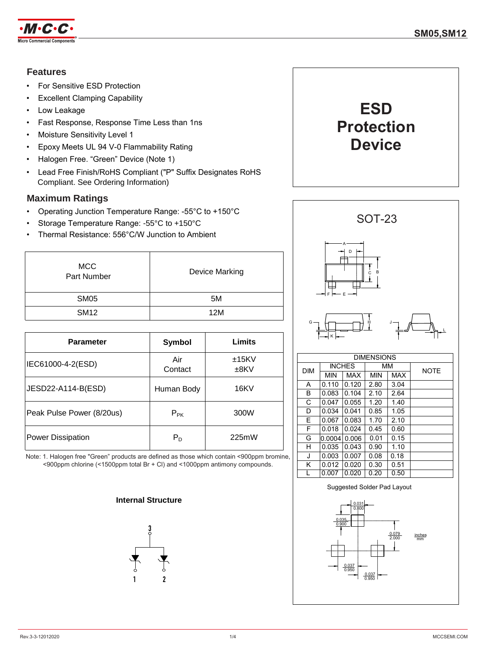

### **Features**

- For Sensitive ESD Protection
- **Excellent Clamping Capability**
- Low Leakage
- Fast Response, Response Time Less than 1ns
- Moisture Sensitivity Level 1
- Epoxy Meets UL 94 V-0 Flammability Rating
- Halogen Free. "Green" Device (Note 1)
- Lead Free Finish/RoHS Compliant ("P" Suffix Designates RoHS Compliant. See Ordering Information)

### **Maximum Ratings**

- Operating Junction Temperature Range: -55°C to +150°C
- Storage Temperature Range: -55°C to +150°C
- Thermal Resistance: 556°C/W Junction to Ambient

| <b>MCC</b><br>Part Number | <b>Device Marking</b> |
|---------------------------|-----------------------|
| <b>SM05</b>               | 5M                    |
| <b>SM12</b>               | 12M                   |

| <b>Parameter</b>          | <b>Symbol</b>  | Limits           |  |
|---------------------------|----------------|------------------|--|
| IEC61000-4-2(ESD)         | Air<br>Contact | ±15KV<br>$±8$ KV |  |
| JESD22-A114-B(ESD)        | Human Body     | 16KV             |  |
| Peak Pulse Power (8/20us) | $P_{PK}$       | 300W             |  |
| <b>Power Dissipation</b>  | $P_D$          | 225mW            |  |

Note: 1. Halogen free "Green" products are defined as those which contain <900ppm bromine, <900ppm chlorine (<1500ppm total Br + Cl) and <1000ppm antimony compounds.

### **Internal Structure**







|            | <b>DIMENSIONS</b> |            |            |            |             |  |
|------------|-------------------|------------|------------|------------|-------------|--|
| <b>DIM</b> | <b>INCHES</b>     |            | ΜМ         |            | <b>NOTE</b> |  |
|            | MIN               | <b>MAX</b> | <b>MIN</b> | <b>MAX</b> |             |  |
| A          | 0.110             | 0.120      | 2.80       | 3.04       |             |  |
| В          | 0.083             | 0.104      | 2.10       | 2.64       |             |  |
| C          | 0.047             | 0.055      | 1.20       | 1.40       |             |  |
| D          | 0.034             | 0.041      | 0.85       | 1.05       |             |  |
| E          | 0.067             | 0.083      | 1.70       | 2.10       |             |  |
| F          | 0.018             | 0.024      | 0.45       | 0.60       |             |  |
| G          | 0.0004            | 0.006      | 0.01       | 0.15       |             |  |
| н          | 0.035             | 0.043      | 0.90       | 1.10       |             |  |
| J          | 0.003             | 0.007      | 0.08       | 0.18       |             |  |
| κ          | 0.012             | 0.020      | 0.30       | 0.51       |             |  |
| L          | 0.007             | 0.020      | 0.20       | 0.50       |             |  |

#### 0.079 2.000 inches mm 0.031 0.800 0.035 0.900 0.037 0.950 0.037 0.950 Suggested Solder Pad Layout

#### Rev.3-3-12012020 1/4 [MCCSEMI.COM](http://www.mccsemi.com/)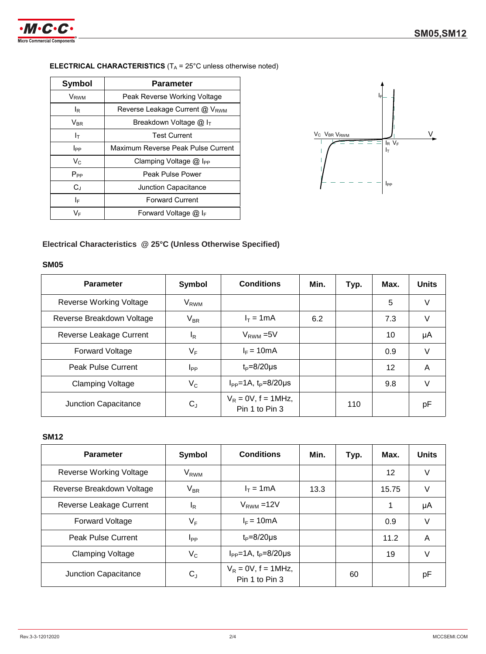

# **ELECTRICAL CHARACTERISTICS** (T<sub>A</sub> = 25°C unless otherwise noted)

| Symbol                 | <b>Parameter</b>                           |  |  |
|------------------------|--------------------------------------------|--|--|
| V <sub>RWM</sub>       | Peak Reverse Working Voltage               |  |  |
| l <sub>R</sub>         | Reverse Leakage Current @ V <sub>RWM</sub> |  |  |
| $V_{BR}$               | Breakdown Voltage $@$ I <sub>T</sub>       |  |  |
| Iт                     | <b>Test Current</b>                        |  |  |
| <b>I</b> <sub>PP</sub> | Maximum Reverse Peak Pulse Current         |  |  |
| $V_{C}$                | Clamping Voltage $@$ I <sub>PP</sub>       |  |  |
| $P_{PP}$               | Peak Pulse Power                           |  |  |
| $C_{\perp}$            | Junction Capacitance                       |  |  |
| ΙF                     | <b>Forward Current</b>                     |  |  |
| V⊧                     | Forward Voltage $@I_{F}$                   |  |  |



### **Electrical Characteristics @ 25°C (Unless Otherwise Specified)**

#### **SM05**

| <b>Parameter</b>          | <b>Symbol</b>    | <b>Conditions</b>                        | Min. | Typ. | Max. | <b>Units</b> |
|---------------------------|------------------|------------------------------------------|------|------|------|--------------|
| Reverse Working Voltage   | $\rm V_{RWM}$    |                                          |      |      | 5    | V            |
| Reverse Breakdown Voltage | $V_{BR}$         | $I_T = 1mA$                              | 6.2  |      | 7.3  | V            |
| Reverse Leakage Current   | <sup>I</sup> R   | $V_{RWM} = 5V$                           |      |      | 10   | μA           |
| <b>Forward Voltage</b>    | $V_{\mathsf{F}}$ | $I_F = 10mA$                             |      |      | 0.9  | V            |
| <b>Peak Pulse Current</b> | <b>I</b> pp      | $t_P = 8/20 \mu s$                       |      |      | 12   | A            |
| <b>Clamping Voltage</b>   | $V_{C}$          | $I_{PP} = 1A$ , $t_P = 8/20 \mu s$       |      |      | 9.8  | V            |
| Junction Capacitance      | $C_{J}$          | $V_R = 0V$ , f = 1MHz,<br>Pin 1 to Pin 3 |      | 110  |      | рF           |

#### **SM12**

| <b>Parameter</b>               | <b>Symbol</b>          | <b>Conditions</b>                        | Min. | Typ. | Max.  | <b>Units</b> |
|--------------------------------|------------------------|------------------------------------------|------|------|-------|--------------|
| <b>Reverse Working Voltage</b> | <b>V<sub>RWM</sub></b> |                                          |      |      | 12    | V            |
| Reverse Breakdown Voltage      | $V_{BR}$               | $I_T = 1mA$                              | 13.3 |      | 15.75 | V            |
| Reverse Leakage Current        | $I_R$                  | $V_{RWM}$ =12V                           |      |      | 1     | μA           |
| Forward Voltage                | $V_F$                  | $I_F = 10mA$                             |      |      | 0.9   | V            |
| <b>Peak Pulse Current</b>      | I <sub>PP</sub>        | $t_P = 8/20 \mu s$                       |      |      | 11.2  | A            |
| <b>Clamping Voltage</b>        | $V_C$                  | $I_{PP} = 1A$ , $t_P = 8/20 \mu s$       |      |      | 19    | V            |
| Junction Capacitance           | $C_{J}$                | $V_R = 0V$ , f = 1MHz,<br>Pin 1 to Pin 3 |      | 60   |       | рF           |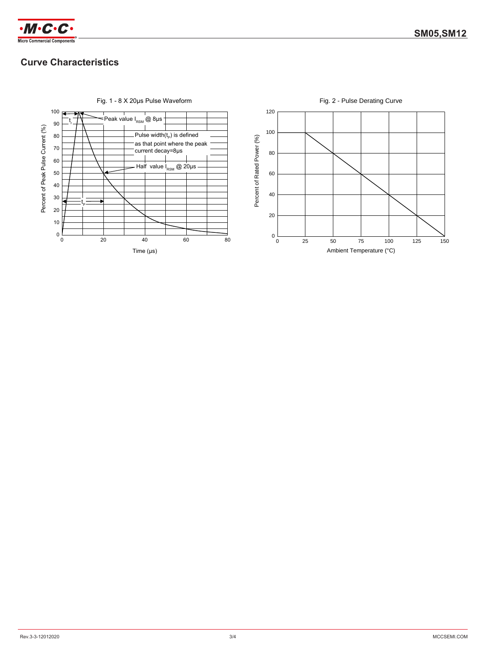

## **Curve Characteristics**